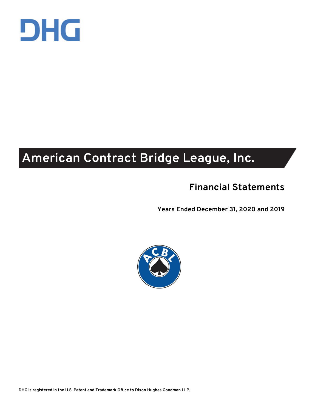

## **American Contract Bridge League, Inc.**

## **Financial Statements**

**Years Ended December 31, 2020 and 2019** 



**DHG is registered in the U.S. Patent and Trademark Office to Dixon Hughes Goodman LLP.**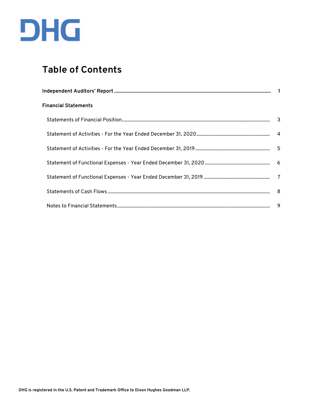

## **Table of Contents**

| <b>Financial Statements</b> |  |
|-----------------------------|--|
|                             |  |
|                             |  |
|                             |  |
|                             |  |
|                             |  |
|                             |  |
|                             |  |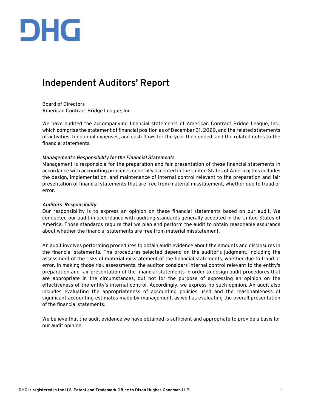

### **Independent Auditors' Report**

Board of Directors American Contract Bridge League, Inc.

We have audited the accompanying financial statements of American Contract Bridge League, Inc., which comprise the statement of financial position as of December 31, 2020, and the related statements of activities, functional expenses, and cash flows for the year then ended, and the related notes to the financial statements.

#### *Management's Responsibility for the Financial Statements*

Management is responsible for the preparation and fair presentation of these financial statements in accordance with accounting principles generally accepted in the United States of America; this includes the design, implementation, and maintenance of internal control relevant to the preparation and fair presentation of financial statements that are free from material misstatement, whether due to fraud or error.

#### *Auditors' Responsibility*

Our responsibility is to express an opinion on these financial statements based on our audit. We conducted our audit in accordance with auditing standards generally accepted in the United States of America. Those standards require that we plan and perform the audit to obtain reasonable assurance about whether the financial statements are free from material misstatement.

An audit involves performing procedures to obtain audit evidence about the amounts and disclosures in the financial statements. The procedures selected depend on the auditor's judgment, including the assessment of the risks of material misstatement of the financial statements, whether due to fraud or error. In making those risk assessments, the auditor considers internal control relevant to the entity's preparation and fair presentation of the financial statements in order to design audit procedures that are appropriate in the circumstances, but not for the purpose of expressing an opinion on the effectiveness of the entity's internal control. Accordingly, we express no such opinion. An audit also includes evaluating the appropriateness of accounting policies used and the reasonableness of significant accounting estimates made by management, as well as evaluating the overall presentation of the financial statements.

We believe that the audit evidence we have obtained is sufficient and appropriate to provide a basis for our audit opinion.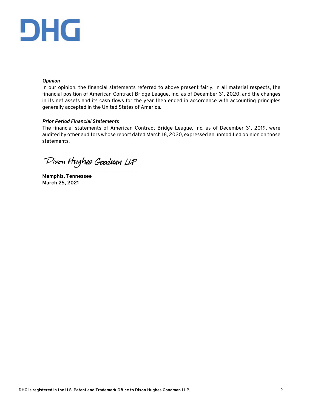# DHG

#### *Opinion*

In our opinion, the financial statements referred to above present fairly, in all material respects, the financial position of American Contract Bridge League, Inc. as of December 31, 2020, and the changes in its net assets and its cash flows for the year then ended in accordance with accounting principles generally accepted in the United States of America.

#### *Prior Period Financial Statements*

The financial statements of American Contract Bridge League, Inc. as of December 31, 2019, were audited by other auditors whose report dated March 18, 2020, expressed an unmodified opinion on those statements.

Dixon Hughes Goodman LLP

**Memphis, Tennessee March 25, 2021**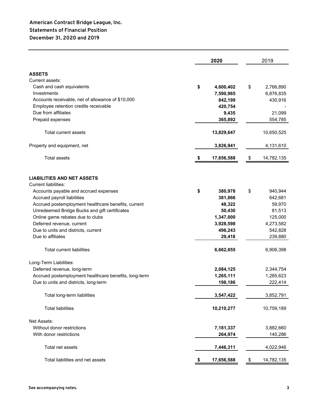|                                                       | 2020             | 2019             |
|-------------------------------------------------------|------------------|------------------|
| <b>ASSETS</b>                                         |                  |                  |
| Current assets:                                       |                  |                  |
| Cash and cash equivalents                             | \$<br>4,600,402  | \$<br>2,766,890  |
| Investments                                           | 7,590,965        | 6,876,835        |
| Accounts receivable, net of allowance of \$10,000     | 842,199          | 430,916          |
| Employee retention credits receivable                 | 420,754          |                  |
| Due from affiliates                                   | 9,435            | 21,099           |
| Prepaid expenses                                      | 365,892          | 554,785          |
| Total current assets                                  | 13,829,647       | 10,650,525       |
| Property and equipment, net                           | 3,826,941        | 4,131,610        |
| <b>Total assets</b>                                   | 17,656,588       | \$<br>14,782,135 |
|                                                       |                  |                  |
| <b>LIABILITIES AND NET ASSETS</b>                     |                  |                  |
| <b>Current liabilities:</b>                           |                  |                  |
| Accounts payable and accrued expenses                 | \$<br>380,978    | \$<br>940,944    |
| Accrued payroll liabilities                           | 381,866          | 642,681          |
| Accrued postemployment healthcare benefits, current   | 48,322           | 59,970           |
| Unredeemed Bridge Bucks and gift certificates         | 50,430           | 81,513           |
| Online game rebates due to clubs                      | 1,347,000        | 125,000          |
| Deferred revenue, current                             | 3,928,598        | 4,273,582        |
| Due to units and districts, current                   | 496,243          | 542,828          |
| Due to affiliates                                     | 29,418           | 239,880          |
| <b>Total current liabilities</b>                      | 6,662,855        | 6,906,398        |
| Long-Term Liabilities:                                |                  |                  |
| Deferred revenue, long-term                           | 2,084,125        | 2,344,754        |
| Accrued postemployment healthcare benefits, long-term | 1,265,111        | 1,285,623        |
| Due to units and districts, long-term                 | 198,186          | 222,414          |
| Total long-term liabilities                           | 3,547,422        | 3,852,791        |
| <b>Total liabilities</b>                              | 10,210,277       | 10,759,189       |
| Net Assets:                                           |                  |                  |
| Without donor restrictions                            | 7,181,337        | 3,882,660        |
| With donor restrictions                               | 264,974          | 140,286          |
| Total net assets                                      | 7,446,311        | 4,022,946        |
| Total liabilities and net assets                      | \$<br>17,656,588 | \$<br>14,782,135 |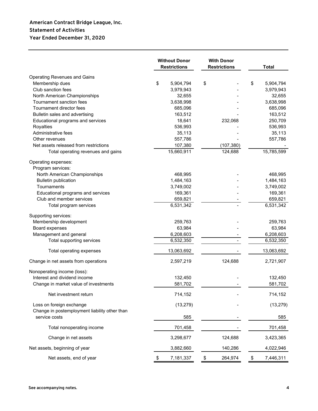#### **American Contract Bridge League, Inc. Statement of Activities Year Ended December 31, 2020**

|                                                   | <b>Without Donor</b><br><b>With Donor</b><br><b>Restrictions</b><br><b>Restrictions</b> |    |            | <b>Total</b>    |
|---------------------------------------------------|-----------------------------------------------------------------------------------------|----|------------|-----------------|
| <b>Operating Revenues and Gains</b>               |                                                                                         |    |            |                 |
| Membership dues                                   | \$<br>5,904,794                                                                         | \$ |            | \$<br>5,904,794 |
| Club sanction fees                                | 3,979,943                                                                               |    |            | 3,979,943       |
| North American Championships                      | 32,655                                                                                  |    |            | 32,655          |
| Tournament sanction fees                          | 3,638,998                                                                               |    |            | 3,638,998       |
| Tournament director fees                          | 685,096                                                                                 |    |            | 685,096         |
| Bulletin sales and advertising                    | 163,512                                                                                 |    |            | 163,512         |
| Educational programs and services                 | 18,641                                                                                  |    | 232,068    | 250,709         |
| Royalties                                         | 536,993                                                                                 |    |            | 536,993         |
| Administrative fees                               | 35,113                                                                                  |    |            | 35,113          |
| Other revenues                                    | 557,786                                                                                 |    |            | 557,786         |
| Net assets released from restrictions             | 107,380                                                                                 |    | (107, 380) |                 |
| Total operating revenues and gains                | 15,660,911                                                                              |    | 124,688    | 15,785,599      |
| Operating expenses:                               |                                                                                         |    |            |                 |
| Program services:<br>North American Championships | 468,995                                                                                 |    |            | 468,995         |
| <b>Bulletin publication</b>                       | 1,484,163                                                                               |    |            | 1,484,163       |
| Tournaments                                       | 3,749,002                                                                               |    |            | 3,749,002       |
| Educational programs and services                 | 169,361                                                                                 |    |            | 169,361         |
| Club and member services                          | 659,821                                                                                 |    |            | 659,821         |
| Total program services                            | 6,531,342                                                                               |    |            | 6,531,342       |
|                                                   |                                                                                         |    |            |                 |
| Supporting services:<br>Membership development    | 259,763                                                                                 |    |            | 259,763         |
| Board expenses                                    | 63,984                                                                                  |    |            | 63,984          |
| Management and general                            | 6,208,603                                                                               |    |            | 6,208,603       |
| Total supporting services                         | 6,532,350                                                                               |    |            | 6,532,350       |
|                                                   |                                                                                         |    |            |                 |
| Total operating expenses                          | 13,063,692                                                                              |    |            | 13,063,692      |
| Change in net assets from operations              | 2,597,219                                                                               |    | 124,688    | 2,721,907       |
| Nonoperating income (loss):                       |                                                                                         |    |            |                 |
| Interest and dividend income                      | 132,450                                                                                 |    |            | 132,450         |
| Change in market value of investments             | 581,702                                                                                 |    |            | 581,702         |
| Net investment return                             | 714,152                                                                                 |    |            | 714,152         |
| Loss on foreign exchange                          | (13, 279)                                                                               |    |            | (13, 279)       |
| Change in postemployment liability other than     |                                                                                         |    |            |                 |
| service costs                                     | 585                                                                                     |    |            | 585             |
| Total nonoperating income                         | 701,458                                                                                 |    |            | 701,458         |
| Change in net assets                              | 3,298,677                                                                               |    | 124,688    | 3,423,365       |
| Net assets, beginning of year                     | 3,882,660                                                                               |    | 140,286    | 4,022,946       |
| Net assets, end of year                           | \$<br>7,181,337                                                                         | \$ | 264,974    | \$<br>7,446,311 |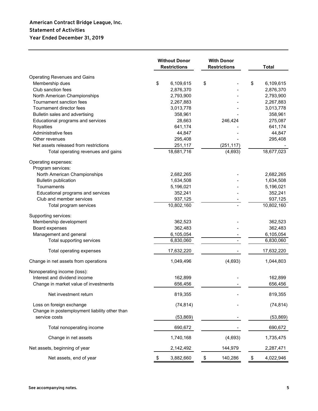#### **American Contract Bridge League, Inc. Statement of Activities Year Ended December 31, 2019**

|                                               | <b>Without Donor</b><br><b>Restrictions</b> |    | <b>With Donor</b><br><b>Restrictions</b> | <b>Total</b>           |
|-----------------------------------------------|---------------------------------------------|----|------------------------------------------|------------------------|
| <b>Operating Revenues and Gains</b>           |                                             |    |                                          |                        |
| Membership dues                               | \$<br>6,109,615                             | \$ |                                          | \$<br>6,109,615        |
| Club sanction fees                            | 2,876,370                                   |    |                                          | 2,876,370              |
| North American Championships                  | 2,793,900                                   |    |                                          | 2,793,900              |
| Tournament sanction fees                      | 2,267,883                                   |    |                                          | 2,267,883              |
| Tournament director fees                      | 3,013,778                                   |    |                                          | 3,013,778              |
| Bulletin sales and advertising                | 358,961                                     |    |                                          | 358,961                |
| Educational programs and services             | 28,663                                      |    | 246,424                                  | 275,087                |
| Royalties                                     | 641,174                                     |    |                                          | 641,174                |
| Administrative fees                           | 44,847                                      |    |                                          | 44,847                 |
| Other revenues                                | 295,408                                     |    |                                          | 295,408                |
| Net assets released from restrictions         | 251,117                                     |    | (251, 117)                               |                        |
| Total operating revenues and gains            | 18,681,716                                  |    | (4,693)                                  | 18,677,023             |
| Operating expenses:                           |                                             |    |                                          |                        |
| Program services:                             |                                             |    |                                          |                        |
| North American Championships                  | 2,682,265<br>1,634,508                      |    |                                          | 2,682,265<br>1,634,508 |
| <b>Bulletin publication</b><br>Tournaments    | 5,196,021                                   |    |                                          |                        |
| Educational programs and services             | 352,241                                     |    |                                          | 5,196,021<br>352,241   |
| Club and member services                      | 937,125                                     |    |                                          | 937,125                |
| Total program services                        | 10,802,160                                  |    |                                          | 10,802,160             |
|                                               |                                             |    |                                          |                        |
| Supporting services:                          |                                             |    |                                          |                        |
| Membership development                        | 362,523                                     |    |                                          | 362,523                |
| Board expenses                                | 362,483                                     |    |                                          | 362,483                |
| Management and general                        | 6,105,054                                   |    |                                          | 6,105,054              |
| Total supporting services                     | 6,830,060                                   |    |                                          | 6,830,060              |
| Total operating expenses                      | 17,632,220                                  |    |                                          | 17,632,220             |
| Change in net assets from operations          | 1,049,496                                   |    | (4,693)                                  | 1,044,803              |
| Nonoperating income (loss):                   |                                             |    |                                          |                        |
| Interest and dividend income                  | 162,899                                     |    |                                          | 162,899                |
| Change in market value of investments         | 656,456                                     |    |                                          | 656,456                |
| Net investment return                         | 819,355                                     |    |                                          | 819,355                |
| Loss on foreign exchange                      | (74, 814)                                   |    |                                          | (74, 814)              |
| Change in postemployment liability other than |                                             |    |                                          |                        |
| service costs                                 | (53, 869)                                   |    |                                          | (53, 869)              |
| Total nonoperating income                     | 690,672                                     |    |                                          | 690,672                |
| Change in net assets                          | 1,740,168                                   |    | (4,693)                                  | 1,735,475              |
| Net assets, beginning of year                 | 2,142,492                                   |    | 144,979                                  | 2,287,471              |
| Net assets, end of year                       | \$<br>3,882,660                             | \$ | 140,286                                  | \$<br>4,022,946        |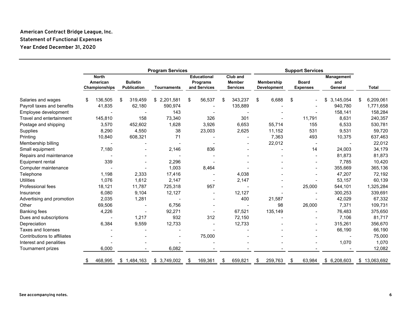#### **American Contract Bridge League, Inc. Statement of Functional Expenses Year Ended December 31, 2020**

|                             | <b>Program Services</b> |                                           |    |                                       |                    |    |                                                       | <b>Support Services</b> |                                              |    |                                  |    |                                 |                              |                 |
|-----------------------------|-------------------------|-------------------------------------------|----|---------------------------------------|--------------------|----|-------------------------------------------------------|-------------------------|----------------------------------------------|----|----------------------------------|----|---------------------------------|------------------------------|-----------------|
|                             |                         | <b>North</b><br>American<br>Championships |    | <b>Bulletin</b><br><b>Publication</b> | <b>Tournaments</b> |    | <b>Educational</b><br><b>Programs</b><br>and Services |                         | Club and<br><b>Member</b><br><b>Services</b> |    | Membership<br><b>Development</b> |    | <b>Board</b><br><b>Expenses</b> | Management<br>and<br>General | <b>Total</b>    |
| Salaries and wages          | \$                      | 136,505                                   | \$ | 319,459                               | \$2,201,581        | \$ | 56,537                                                | \$                      | 343,237                                      | \$ | 6,688                            | \$ |                                 | 3,145,054                    | \$<br>6,209,061 |
| Payroll taxes and benefits  |                         | 41,835                                    |    | 62,180                                | 590,974            |    |                                                       |                         | 135,889                                      |    |                                  |    |                                 | 940,780                      | 1,771,658       |
| Employee development        |                         |                                           |    |                                       | 143                |    |                                                       |                         |                                              |    |                                  |    |                                 | 158,141                      | 158,284         |
| Travel and entertainment    |                         | 145,810                                   |    | 158                                   | 73,340             |    | 326                                                   |                         | 301                                          |    |                                  |    | 11,791                          | 8,631                        | 240,357         |
| Postage and shipping        |                         | 3,570                                     |    | 452,602                               | 1,628              |    | 3,926                                                 |                         | 6,653                                        |    | 55,714                           |    | 155                             | 6,533                        | 530,781         |
| Supplies                    |                         | 8,290                                     |    | 4,550                                 | 38                 |    | 23,003                                                |                         | 2,625                                        |    | 11,152                           |    | 531                             | 9,531                        | 59,720          |
| Printing                    |                         | 10,840                                    |    | 608,321                               | 71                 |    |                                                       |                         | $\blacksquare$                               |    | 7,363                            |    | 493                             | 10,375                       | 637,463         |
| Membership billing          |                         |                                           |    |                                       |                    |    |                                                       |                         |                                              |    | 22,012                           |    | $\blacksquare$                  |                              | 22,012          |
| Small equipment             |                         | 7,180                                     |    |                                       | 2,146              |    | 836                                                   |                         |                                              |    |                                  |    | 14                              | 24,003                       | 34,179          |
| Repairs and maintenance     |                         |                                           |    |                                       |                    |    |                                                       |                         |                                              |    |                                  |    |                                 | 81,873                       | 81,873          |
| Equipment rental            |                         | 339                                       |    |                                       | 2,296              |    |                                                       |                         |                                              |    |                                  |    |                                 | 7,785                        | 10,420          |
| Computer maintenance        |                         |                                           |    |                                       | 1,003              |    | 8,464                                                 |                         |                                              |    |                                  |    |                                 | 355,669                      | 365,136         |
| Telephone                   |                         | 1,198                                     |    | 2,333                                 | 17,416             |    |                                                       |                         | 4,038                                        |    |                                  |    |                                 | 47,207                       | 72,192          |
| <b>Utilities</b>            |                         | 1,076                                     |    | 1,612                                 | 2,147              |    |                                                       |                         | 2,147                                        |    |                                  |    |                                 | 53,157                       | 60,139          |
| <b>Professional fees</b>    |                         | 18,121                                    |    | 11,787                                | 725,318            |    | 957                                                   |                         |                                              |    |                                  |    | 25,000                          | 544,101                      | 1,325,284       |
| Insurance                   |                         | 6,080                                     |    | 9,104                                 | 12,127             |    |                                                       |                         | 12,127                                       |    |                                  |    |                                 | 300,253                      | 339,691         |
| Advertising and promotion   |                         | 2,035                                     |    | 1,281                                 |                    |    |                                                       |                         | 400                                          |    | 21,587                           |    |                                 | 42,029                       | 67,332          |
| Other                       |                         | 69,506                                    |    |                                       | 6,756              |    |                                                       |                         |                                              |    | 98                               |    | 26,000                          | 7,371                        | 109,731         |
| <b>Banking fees</b>         |                         | 4,226                                     |    |                                       | 92,271             |    |                                                       |                         | 67,521                                       |    | 135,149                          |    |                                 | 76,483                       | 375,650         |
| Dues and subscriptions      |                         |                                           |    | 1,217                                 | 932                |    | 312                                                   |                         | 72,150                                       |    |                                  |    |                                 | 7,106                        | 81,717          |
| Depreciation                |                         | 6,384                                     |    | 9,559                                 | 12,733             |    |                                                       |                         | 12,733                                       |    |                                  |    |                                 | 315,261                      | 356,670         |
| <b>Taxes and licenses</b>   |                         |                                           |    |                                       |                    |    |                                                       |                         |                                              |    |                                  |    |                                 | 66,190                       | 66,190          |
| Contributions to affiliates |                         |                                           |    |                                       |                    |    | 75,000                                                |                         |                                              |    |                                  |    |                                 |                              | 75,000          |
| Interest and penalities     |                         |                                           |    |                                       |                    |    |                                                       |                         |                                              |    |                                  |    |                                 | 1,070                        | 1,070           |
| Tournament prizes           |                         | 6,000                                     |    |                                       | 6,082              |    |                                                       |                         |                                              |    |                                  |    |                                 |                              | 12,082          |
|                             |                         | 468,995                                   |    | \$1,484,163                           | \$3,749,002        | S  | 169,361                                               | \$                      | 659,821                                      | S  | 259,763                          | \$ | 63,984                          | 6,208,603<br>\$              | \$13,063,692    |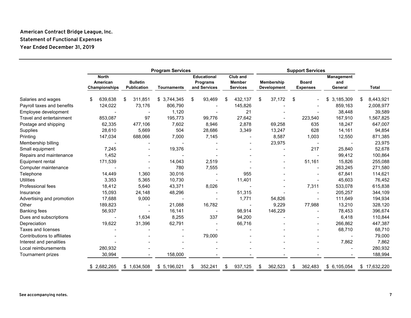#### **American Contract Bridge League, Inc. Statement of Functional Expenses Year Ended December 31, 2019**

|                             | <b>Program Services</b>                   |                |                                |                    |                                                |    | <b>Support Services</b>                      |    |                                         |                                 |                              |    |              |
|-----------------------------|-------------------------------------------|----------------|--------------------------------|--------------------|------------------------------------------------|----|----------------------------------------------|----|-----------------------------------------|---------------------------------|------------------------------|----|--------------|
|                             | <b>North</b><br>American<br>Championships |                | <b>Bulletin</b><br>Publication | <b>Tournaments</b> | <b>Educational</b><br>Programs<br>and Services |    | Club and<br><b>Member</b><br><b>Services</b> |    | <b>Membership</b><br><b>Development</b> | <b>Board</b><br><b>Expenses</b> | Management<br>and<br>General |    | <b>Total</b> |
| Salaries and wages          | 639,638<br>\$                             |                | 311,851<br>\$                  | \$3,744,345        | \$<br>93,469                                   | \$ | 432,137                                      | \$ | 37,172                                  | \$                              | \$<br>3,185,309              | \$ | 8,443,921    |
| Payroll taxes and benefits  | 124,022                                   |                | 73,176                         | 806,790            |                                                |    | 145,826                                      |    |                                         |                                 | 859,163                      |    | 2,008,977    |
| Employee development        |                                           |                |                                | 1,120              |                                                |    | 21                                           |    |                                         |                                 | 38,448                       |    | 39,589       |
| Travel and entertainment    | 853,087                                   |                | 97                             | 195,773            | 99,776                                         |    | 27,642                                       |    |                                         | 223,540                         | 167,910                      |    | 1,567,825    |
| Postage and shipping        | 62,335                                    |                | 477,106                        | 7,602              | 8,946                                          |    | 2,878                                        |    | 69,258                                  | 635                             | 18,247                       |    | 647,007      |
| Supplies                    |                                           | 28,610         | 5,669                          | 504                | 28,686                                         |    | 3,349                                        |    | 13,247                                  | 628                             | 14,161                       |    | 94,854       |
| Printing                    | 147,034                                   |                | 688,066                        | 7,000              | 7,145                                          |    |                                              |    | 8,587                                   | 1,003                           | 12,550                       |    | 871,385      |
| Membership billing          |                                           |                |                                |                    |                                                |    |                                              |    | 23,975                                  | $\overline{\phantom{a}}$        |                              |    | 23,975       |
| Small equipment             |                                           | 7,245          |                                | 19,376             |                                                |    |                                              |    |                                         | 217                             | 25,840                       |    | 52,678       |
| Repairs and maintenance     |                                           | 1,452          |                                |                    |                                                |    |                                              |    |                                         |                                 | 99,412                       |    | 100,864      |
| Equipment rental            | 171,539                                   |                |                                | 14,043             | 2,519                                          |    |                                              |    |                                         | 51,161                          | 15,826                       |    | 255,088      |
| Computer maintenance        |                                           |                |                                | 780                | 7,555                                          |    |                                              |    |                                         |                                 | 263,245                      |    | 271,580      |
| Telephone                   |                                           | 14,449         | 1,360                          | 30,016             |                                                |    | 955                                          |    |                                         |                                 | 67,841                       |    | 114,621      |
| <b>Utilities</b>            |                                           | 3,353          | 5,365                          | 10,730             |                                                |    | 11,401                                       |    |                                         |                                 | 45,603                       |    | 76,452       |
| <b>Professional fees</b>    |                                           | 18,412         | 5,640                          | 43,371             | 8,026                                          |    |                                              |    |                                         | 7,311                           | 533,078                      |    | 615,838      |
| Insurance                   |                                           | 15,093         | 24,148                         | 48,296             |                                                |    | 51,315                                       |    |                                         |                                 | 205,257                      |    | 344,109      |
| Advertising and promotion   |                                           | 17,688         | 9,000                          |                    |                                                |    | 1,771                                        |    | 54,826                                  |                                 | 111,649                      |    | 194,934      |
| Other                       | 189,823                                   |                |                                | 21,088             | 16,782                                         |    | $\blacksquare$                               |    | 9,229                                   | 77,988                          | 13,210                       |    | 328,120      |
| <b>Banking fees</b>         | 56,937                                    |                |                                | 16,141             |                                                |    | 98,914                                       |    | 146,229                                 |                                 | 78,453                       |    | 396,674      |
| Dues and subscriptions      |                                           | $\blacksquare$ | 1,634                          | 8,255              | 337                                            |    | 94,200                                       |    |                                         |                                 | 6,418                        |    | 110,844      |
| Depreciation                |                                           | 19,622         | 31,396                         | 62,791             |                                                |    | 66,716                                       |    |                                         |                                 | 266,862                      |    | 447,387      |
| <b>Taxes and licenses</b>   |                                           |                |                                |                    |                                                |    |                                              |    |                                         |                                 | 68,710                       |    | 68,710       |
| Contributions to affiliates |                                           |                |                                |                    | 79,000                                         |    |                                              |    |                                         |                                 |                              |    | 79,000       |
| Interest and penalities     |                                           |                |                                |                    |                                                |    |                                              |    |                                         |                                 | 7,862                        |    | 7,862        |
| Local reimbursements        | 280,932                                   |                |                                |                    |                                                |    |                                              |    |                                         |                                 |                              |    | 280,932      |
| Tournament prizes           | 30,994                                    |                |                                | 158,000            |                                                |    |                                              |    |                                         |                                 |                              |    | 188,994      |
|                             | 2,682,265                                 |                | \$1,634,508                    | \$ 5,196,021       | 352,241<br>\$                                  | \$ | 937,125                                      | \$ | 362,523                                 | 362,483<br>\$                   | \$6,105,054                  |    | \$17,632,220 |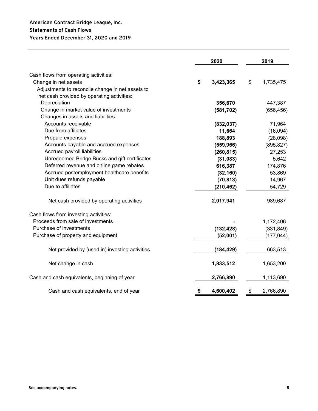#### **American Contract Bridge League, Inc. Statements of Cash Flows Years Ended December 31, 2020 and 2019**

|                                                  | 2020            |                           | 2019       |
|--------------------------------------------------|-----------------|---------------------------|------------|
| Cash flows from operating activities:            |                 |                           |            |
| Change in net assets                             | \$<br>3,423,365 | $\boldsymbol{\mathsf{s}}$ | 1,735,475  |
| Adjustments to reconcile change in net assets to |                 |                           |            |
| net cash provided by operating activities:       |                 |                           |            |
| Depreciation                                     | 356,670         |                           | 447,387    |
| Change in market value of investments            | (581, 702)      |                           | (656, 456) |
| Changes in assets and liabilities:               |                 |                           |            |
| Accounts receivable                              | (832, 037)      |                           | 71,964     |
| Due from affiliates                              | 11,664          |                           | (16,094)   |
| Prepaid expenses                                 | 188,893         |                           | (28,098)   |
| Accounts payable and accrued expenses            | (559, 966)      |                           | (895, 827) |
| Accrued payroll liabilities                      | (260, 815)      |                           | 27,253     |
| Unredeemed Bridge Bucks and gift certificates    | (31,083)        |                           | 5,642      |
| Deferred revenue and online game rebates         | 616,387         |                           | 174,876    |
| Accrued postemployment healthcare benefits       | (32, 160)       |                           | 53,869     |
| Unit dues refunds payable                        | (70, 813)       |                           | 14,967     |
| Due to affiliates                                | (210, 462)      |                           | 54,729     |
| Net cash provided by operating activities        | 2,017,941       |                           | 989,687    |
| Cash flows from investing activities:            |                 |                           |            |
| Proceeds from sale of investments                |                 |                           | 1,172,406  |
| Purchase of investments                          | (132, 428)      |                           | (331, 849) |
| Purchase of property and equipment               | (52,001)        |                           | (177, 044) |
| Net provided by (used in) investing activities   | (184, 429)      |                           | 663,513    |
| Net change in cash                               | 1,833,512       |                           | 1,653,200  |
| Cash and cash equivalents, beginning of year     | 2,766,890       |                           | 1,113,690  |
| Cash and cash equivalents, end of year           | \$<br>4,600,402 | \$                        | 2,766,890  |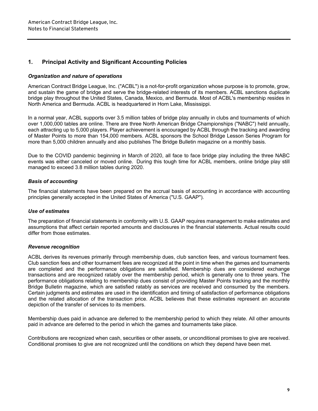#### **1. Principal Activity and Significant Accounting Policies**

#### *Organization and nature of operations*

American Contract Bridge League, Inc. ("ACBL") is a not-for-profit organization whose purpose is to promote, grow, and sustain the game of bridge and serve the bridge-related interests of its members. ACBL sanctions duplicate bridge play throughout the United States, Canada, Mexico, and Bermuda. Most of ACBL's membership resides in North America and Bermuda. ACBL is headquartered in Horn Lake, Mississippi.

In a normal year, ACBL supports over 3.5 million tables of bridge play annually in clubs and tournaments of which over 1,000,000 tables are online. There are three North American Bridge Championships ("NABC") held annually, each attracting up to 5,000 players. Player achievement is encouraged by ACBL through the tracking and awarding of Master Points to more than 154,000 members. ACBL sponsors the School Bridge Lesson Series Program for more than 5,000 children annually and also publishes The Bridge Bulletin magazine on a monthly basis.

Due to the COVID pandemic beginning in March of 2020, all face to face bridge play including the three NABC events was either canceled or moved online. During this tough time for ACBL members, online bridge play still managed to exceed 3.8 million tables during 2020.

#### *Basis of accounting*

The financial statements have been prepared on the accrual basis of accounting in accordance with accounting principles generally accepted in the United States of America ("U.S. GAAP").

#### *Use of estimates*

The preparation of financial statements in conformity with U.S. GAAP requires management to make estimates and assumptions that affect certain reported amounts and disclosures in the financial statements. Actual results could differ from those estimates.

#### *Revenue recognition*

ACBL derives its revenues primarily through membership dues, club sanction fees, and various tournament fees. Club sanction fees and other tournament fees are recognized at the point in time when the games and tournaments are completed and the performance obligations are satisfied. Membership dues are considered exchange transactions and are recognized ratably over the membership period, which is generally one to three years. The performance obligations relating to membership dues consist of providing Master Points tracking and the monthly Bridge Bulletin magazine, which are satisfied ratably as services are received and consumed by the members. Certain judgments and estimates are used in the identification and timing of satisfaction of performance obligations and the related allocation of the transaction price. ACBL believes that these estimates represent an accurate depiction of the transfer of services to its members.

Membership dues paid in advance are deferred to the membership period to which they relate. All other amounts paid in advance are deferred to the period in which the games and tournaments take place.

Contributions are recognized when cash, securities or other assets, or unconditional promises to give are received. Conditional promises to give are not recognized until the conditions on which they depend have been met.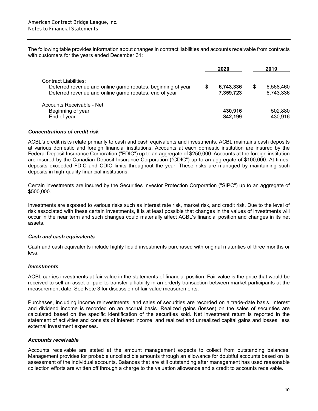The following table provides information about changes in contract liabilities and accounts receivable from contracts with customers for the years ended December 31:

|                                                                                                                                               | 2020                   |   | 2019                   |
|-----------------------------------------------------------------------------------------------------------------------------------------------|------------------------|---|------------------------|
| Contract Liabilities:<br>Deferred revenue and online game rebates, beginning of year<br>Deferred revenue and online game rebates, end of year | 6,743,336<br>7,359,723 | S | 6,568,460<br>6,743,336 |
| Accounts Receivable - Net:<br>Beginning of year<br>End of year                                                                                | 430,916<br>842,199     |   | 502,880<br>430,916     |

#### *Concentrations of credit risk*

ACBL's credit risks relate primarily to cash and cash equivalents and investments. ACBL maintains cash deposits at various domestic and foreign financial institutions. Accounts at each domestic institution are insured by the Federal Deposit Insurance Corporation ("FDIC") up to an aggregate of \$250,000. Accounts at the foreign institution are insured by the Canadian Deposit Insurance Corporation ("CDIC") up to an aggregate of \$100,000. At times, deposits exceeded FDIC and CDIC limits throughout the year. These risks are managed by maintaining such deposits in high-quality financial institutions.

Certain investments are insured by the Securities Investor Protection Corporation ("SIPC") up to an aggregate of \$500,000.

Investments are exposed to various risks such as interest rate risk, market risk, and credit risk. Due to the level of risk associated with these certain investments, it is at least possible that changes in the values of investments will occur in the near term and such changes could materially affect ACBL's financial position and changes in its net assets.

#### *Cash and cash equivalents*

Cash and cash equivalents include highly liquid investments purchased with original maturities of three months or less.

#### *Investments*

ACBL carries investments at fair value in the statements of financial position. Fair value is the price that would be received to sell an asset or paid to transfer a liability in an orderly transaction between market participants at the measurement date. See Note 3 for discussion of fair value measurements.

Purchases, including income reinvestments, and sales of securities are recorded on a trade-date basis. Interest and dividend income is recorded on an accrual basis. Realized gains (losses) on the sales of securities are calculated based on the specific identification of the securities sold. Net investment return is reported in the statement of activities and consists of interest income, and realized and unrealized capital gains and losses, less external investment expenses.

#### *Accounts receivable*

Accounts receivable are stated at the amount management expects to collect from outstanding balances. Management provides for probable uncollectible amounts through an allowance for doubtful accounts based on its assessment of the individual accounts. Balances that are still outstanding after management has used reasonable collection efforts are written off through a charge to the valuation allowance and a credit to accounts receivable.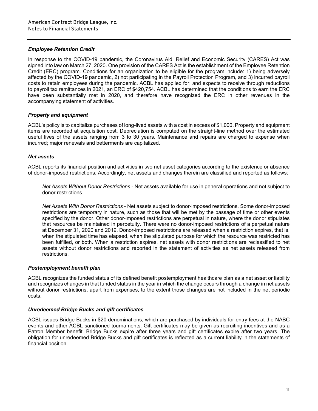#### *Employee Retention Credit*

In response to the COVID-19 pandemic, the Coronavirus Aid, Relief and Economic Security (CARES) Act was signed into law on March 27, 2020. One provision of the CARES Act is the establishment of the Employee Retention Credit (ERC) program. Conditions for an organization to be eligible for the program include: 1) being adversely affected by the COVID-19 pandemic, 2) not participating in the Payroll Protection Program, and 3) incurred payroll costs to retain employees during the pandemic. ACBL has applied for, and expects to receive through reductions to payroll tax remittances in 2021, an ERC of \$420,754. ACBL has determined that the conditions to earn the ERC have been substantially met in 2020, and therefore have recognized the ERC in other revenues in the accompanying statement of activities.

#### *Property and equipment*

ACBL's policy is to capitalize purchases of long-lived assets with a cost in excess of \$1,000. Property and equipment items are recorded at acquisition cost. Depreciation is computed on the straight-line method over the estimated useful lives of the assets ranging from 3 to 30 years. Maintenance and repairs are charged to expense when incurred; major renewals and betterments are capitalized.

#### *Net assets*

ACBL reports its financial position and activities in two net asset categories according to the existence or absence of donor-imposed restrictions. Accordingly, net assets and changes therein are classified and reported as follows:

*Net Assets Without Donor Restrictions* - Net assets available for use in general operations and not subject to donor restrictions.

*Net Assets With Donor Restrictions* - Net assets subject to donor-imposed restrictions. Some donor-imposed restrictions are temporary in nature, such as those that will be met by the passage of time or other events specified by the donor. Other donor-imposed restrictions are perpetual in nature, where the donor stipulates that resources be maintained in perpetuity. There were no donor-imposed restrictions of a perpetual nature at December 31, 2020 and 2019. Donor-imposed restrictions are released when a restriction expires, that is, when the stipulated time has elapsed, when the stipulated purpose for which the resource was restricted has been fulfilled, or both. When a restriction expires, net assets with donor restrictions are reclassified to net assets without donor restrictions and reported in the statement of activities as net assets released from restrictions.

#### *Postemployment benefit plan*

ACBL recognizes the funded status of its defined benefit postemployment healthcare plan as a net asset or liability and recognizes changes in that funded status in the year in which the change occurs through a change in net assets without donor restrictions, apart from expenses, to the extent those changes are not included in the net periodic costs.

#### *Unredeemed Bridge Bucks and gift certificates*

ACBL issues Bridge Bucks in \$20 denominations, which are purchased by individuals for entry fees at the NABC events and other ACBL sanctioned tournaments. Gift certificates may be given as recruiting incentives and as a Patron Member benefit. Bridge Bucks expire after three years and gift certificates expire after two years. The obligation for unredeemed Bridge Bucks and gift certificates is reflected as a current liability in the statements of financial position.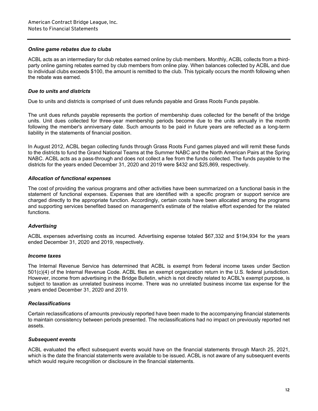#### *Online game rebates due to clubs*

ACBL acts as an intermediary for club rebates earned online by club members. Monthly, ACBL collects from a thirdparty online gaming rebates earned by club members from online play. When balances collected by ACBL and due to individual clubs exceeds \$100, the amount is remitted to the club. This typically occurs the month following when the rebate was earned.

#### *Due to units and districts*

Due to units and districts is comprised of unit dues refunds payable and Grass Roots Funds payable.

The unit dues refunds payable represents the portion of membership dues collected for the benefit of the bridge units. Unit dues collected for three-year membership periods become due to the units annually in the month following the member's anniversary date. Such amounts to be paid in future years are reflected as a long-term liability in the statements of financial position.

In August 2012, ACBL began collecting funds through Grass Roots Fund games played and will remit these funds to the districts to fund the Grand National Teams at the Summer NABC and the North American Pairs at the Spring NABC. ACBL acts as a pass-through and does not collect a fee from the funds collected. The funds payable to the districts for the years ended December 31, 2020 and 2019 were \$432 and \$25,869, respectively.

#### *Allocation of functional expenses*

The cost of providing the various programs and other activities have been summarized on a functional basis in the statement of functional expenses. Expenses that are identified with a specific program or support service are charged directly to the appropriate function. Accordingly, certain costs have been allocated among the programs and supporting services benefited based on management's estimate of the relative effort expended for the related functions.

#### *Advertising*

ACBL expenses advertising costs as incurred. Advertising expense totaled \$67,332 and \$194,934 for the years ended December 31, 2020 and 2019, respectively.

#### *Income taxes*

The Internal Revenue Service has determined that ACBL is exempt from federal income taxes under Section 501(c)(4) of the Internal Revenue Code. ACBL files an exempt organization return in the U.S. federal jurisdiction. However, income from advertising in the Bridge Bulletin, which is not directly related to ACBL's exempt purpose, is subject to taxation as unrelated business income. There was no unrelated business income tax expense for the years ended December 31, 2020 and 2019.

#### *Reclassifications*

Certain reclassifications of amounts previously reported have been made to the accompanying financial statements to maintain consistency between periods presented. The reclassifications had no impact on previously reported net assets.

#### *Subsequent events*

ACBL evaluated the effect subsequent events would have on the financial statements through March 25, 2021, which is the date the financial statements were available to be issued. ACBL is not aware of any subsequent events which would require recognition or disclosure in the financial statements.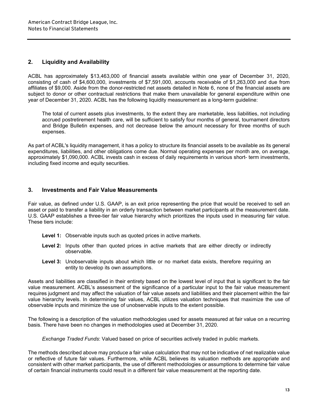#### **2. Liquidity and Availability**

ACBL has approximately \$13,463,000 of financial assets available within one year of December 31, 2020, consisting of cash of \$4,600,000, investments of \$7,591,000, accounts receivable of \$1,263,000 and due from affiliates of \$9,000. Aside from the donor-restricted net assets detailed in Note 6, none of the financial assets are subject to donor or other contractual restrictions that make them unavailable for general expenditure within one year of December 31, 2020. ACBL has the following liquidity measurement as a long-term guideline:

The total of current assets plus investments, to the extent they are marketable, less liabilities, not including accrued postretirement health care, will be sufficient to satisfy four months of general, tournament directors and Bridge Bulletin expenses, and not decrease below the amount necessary for three months of such expenses.

As part of ACBL's liquidity management, it has a policy to structure its financial assets to be available as its general expenditures, liabilities, and other obligations come due. Normal operating expenses per month are, on average, approximately \$1,090,000. ACBL invests cash in excess of daily requirements in various short- term investments, including fixed income and equity securities.

#### **3. Investments and Fair Value Measurements**

Fair value, as defined under U.S. GAAP, is an exit price representing the price that would be received to sell an asset or paid to transfer a liability in an orderly transaction between market participants at the measurement date. U.S. GAAP establishes a three-tier fair value hierarchy which prioritizes the inputs used in measuring fair value. These tiers include:

- **Level 1:** Observable inputs such as quoted prices in active markets.
- **Level 2:** Inputs other than quoted prices in active markets that are either directly or indirectly observable.
- Level 3: Unobservable inputs about which little or no market data exists, therefore requiring an entity to develop its own assumptions.

Assets and liabilities are classified in their entirety based on the lowest level of input that is significant to the fair value measurement. ACBL's assessment of the significance of a particular input to the fair value measurement requires judgment and may affect the valuation of fair value assets and liabilities and their placement within the fair value hierarchy levels. In determining fair values, ACBL utilizes valuation techniques that maximize the use of observable inputs and minimize the use of unobservable inputs to the extent possible.

The following is a description of the valuation methodologies used for assets measured at fair value on a recurring basis. There have been no changes in methodologies used at December 31, 2020.

*Exchange Traded Funds*: Valued based on price of securities actively traded in public markets.

The methods described above may produce a fair value calculation that may not be indicative of net realizable value or reflective of future fair values. Furthermore, while ACBL believes its valuation methods are appropriate and consistent with other market participants, the use of different methodologies or assumptions to determine fair value of certain financial instruments could result in a different fair value measurement at the reporting date.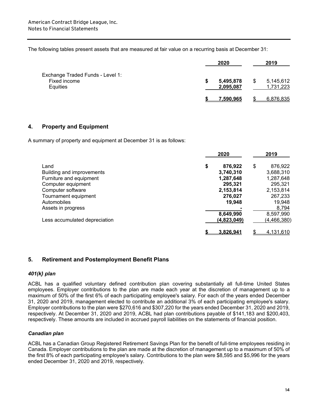The following tables present assets that are measured at fair value on a recurring basis at December 31:

|                                                              | 2020                   | 2019                         |
|--------------------------------------------------------------|------------------------|------------------------------|
| Exchange Traded Funds - Level 1:<br>Fixed income<br>Equities | 5,495,878<br>2,095,087 | \$<br>5,145,612<br>1,731,223 |
|                                                              | 7.590.965              | 6,876,835                    |

#### **4. Property and Equipment**

A summary of property and equipment at December 31 is as follows:

|                               | 2020          | 2019          |  |  |
|-------------------------------|---------------|---------------|--|--|
| Land                          | \$<br>876,922 | \$<br>876,922 |  |  |
| Building and improvements     | 3,740,310     | 3,688,310     |  |  |
| Furniture and equipment       | 1,287,648     | 1,287,648     |  |  |
| Computer equipment            | 295,321       | 295,321       |  |  |
| Computer software             | 2,153,814     | 2,153,814     |  |  |
| Tournament equipment          | 276,027       | 267,233       |  |  |
| Automobiles                   | 19,948        | 19,948        |  |  |
| Assets in progress            |               | 8,794         |  |  |
|                               | 8,649,990     | 8,597,990     |  |  |
| Less accumulated depreciation | (4,823,049)   | (4,466,380)   |  |  |
|                               | 3.826.941     | 4,131,610     |  |  |

#### **5. Retirement and Postemployment Benefit Plans**

#### *401(k} plan*

ACBL has a qualified voluntary defined contribution plan covering substantially all full-time United States employees. Employer contributions to the plan are made each year at the discretion of management up to a maximum of 50% of the first 6% of each participating employee's salary. For each of the years ended December 31, 2020 and 2019, management elected to contribute an additional 3% of each participating employee's salary. Employer contributions to the plan were \$270,616 and \$307,220 for the years ended December 31, 2020 and 2019, respectively. At December 31, 2020 and 2019, ACBL had plan contributions payable of \$141,183 and \$200,403, respectively. These amounts are included in accrued payroll liabilities on the statements of financial position.

#### *Canadian plan*

ACBL has a Canadian Group Registered Retirement Savings Plan for the benefit of full-time employees residing in Canada. Employer contributions to the plan are made at the discretion of management up to a maximum of 50% of the first 8% of each participating employee's salary. Contributions to the plan were \$8,595 and \$5,996 for the years ended December 31, 2020 and 2019, respectively.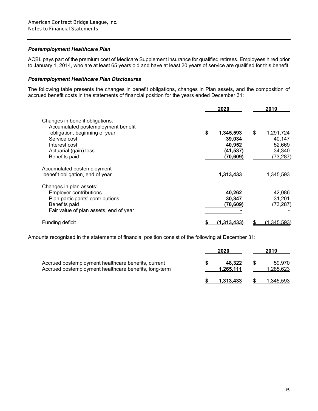#### *Postemployment Healthcare Plan*

ACBL pays part of the premium cost of Medicare Supplement insurance for qualified retirees. Employees hired prior to January 1, 2014, who are at least 65 years old and have at least 20 years of service are qualified for this benefit.

#### *Postemployment Healthcare Plan Disclosures*

The following table presents the changes in benefit obligations, changes in Plan assets, and the composition of accrued benefit costs in the statements of financial position for the years ended December 31:

|                                                                                                                                                         | 2020                                | 2019                                |
|---------------------------------------------------------------------------------------------------------------------------------------------------------|-------------------------------------|-------------------------------------|
| Changes in benefit obligations:<br>Accumulated postemployment benefit                                                                                   |                                     |                                     |
| obligation, beginning of year<br>Service cost<br>Interest cost                                                                                          | \$<br>1,345,593<br>39,034<br>40,952 | \$<br>1,291,724<br>40,147<br>52,669 |
| Actuarial (gain) loss<br>Benefits paid                                                                                                                  | (41,537)<br>(70,609)                | 34,340<br>(73, 287)                 |
| Accumulated postemployment<br>benefit obligation, end of year                                                                                           | 1,313,433                           | 1,345,593                           |
| Changes in plan assets:<br><b>Employer contributions</b><br>Plan participants' contributions<br>Benefits paid<br>Fair value of plan assets, end of year | 40,262<br>30,347<br>(70,609)        | 42,086<br>31,201<br>(73, 287)       |
| Funding deficit                                                                                                                                         | (1.313.433                          | <u>(1,345,593)</u>                  |

Amounts recognized in the statements of financial position consist of the following at December 31:

|                                                                                                              | 2020                | 2019                |  |
|--------------------------------------------------------------------------------------------------------------|---------------------|---------------------|--|
| Accrued postemployment healthcare benefits, current<br>Accrued postemployment healthcare benefits, long-term | 48.322<br>1.265.111 | 59.970<br>1,285,623 |  |
|                                                                                                              | 1.313.433           | 1.345.593           |  |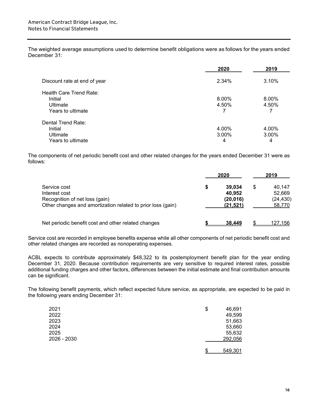The weighted average assumptions used to determine benefit obligations were as follows for the years ended December 31:

|                              | 2020  | 2019  |
|------------------------------|-------|-------|
| Discount rate at end of year | 2.34% | 3.10% |
| Health Care Trend Rate:      |       |       |
| Initial                      | 8.00% | 8.00% |
| Ultimate                     | 4.50% | 4.50% |
| Years to ultimate            |       |       |
| Dental Trend Rate:           |       |       |
| Initial                      | 4.00% | 4.00% |
| Ultimate                     | 3.00% | 3.00% |
| Years to ultimate            | 4     | 4     |

The components of net periodic benefit cost and other related changes for the years ended December 31 were as follows:

|                                                                                                                                | 2020 |                                            | 2019 |                                         |
|--------------------------------------------------------------------------------------------------------------------------------|------|--------------------------------------------|------|-----------------------------------------|
| Service cost<br>Interest cost<br>Recognition of net loss (gain)<br>Other changes and amortization related to prior loss (gain) |      | 39.034<br>40.952<br>(20, 016)<br>(21, 521) | \$   | 40.147<br>52.669<br>(24, 430)<br>58,770 |
| Net periodic benefit cost and other related changes                                                                            |      | 38.449                                     |      | 127,156                                 |

Service cost are recorded in employee benefits expense while all other components of net periodic benefit cost and other related changes are recorded as nonoperating expenses.

ACBL expects to contribute approximately \$48,322 to its postemployment benefit plan for the year ending December 31, 2020. Because contribution requirements are very sensitive to required interest rates, possible additional funding charges and other factors, differences between the initial estimate and final contribution amounts can be significant.

The following benefit payments, which reflect expected future service, as appropriate, are expected to be paid in the following years ending December 31:

| 2021        | \$ | 46,691  |
|-------------|----|---------|
| 2022        |    | 49,599  |
| 2023        |    | 51,663  |
| 2024        |    | 53,660  |
| 2025        |    | 55,632  |
| 2026 - 2030 |    | 292,056 |
|             |    |         |
|             | ፍ  | 549,301 |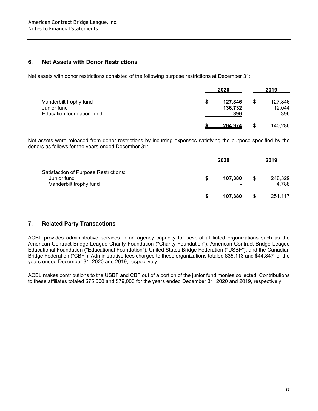#### **6. Net Assets with Donor Restrictions**

Net assets with donor restrictions consisted of the following purpose restrictions at December 31:

|                                                                    |   | 2020                      |  | 2019                     |  |
|--------------------------------------------------------------------|---|---------------------------|--|--------------------------|--|
| Vanderbilt trophy fund<br>Junior fund<br>Education foundation fund | S | 127,846<br>136,732<br>396 |  | 127,846<br>12,044<br>396 |  |
|                                                                    |   | 264.974                   |  | 140,286                  |  |

Net assets were released from donor restrictions by incurring expenses satisfying the purpose specified by the donors as follows for the years ended December 31:

|                                                                                | 2020    |    | 2019             |  |
|--------------------------------------------------------------------------------|---------|----|------------------|--|
| Satisfaction of Purpose Restrictions:<br>Junior fund<br>Vanderbilt trophy fund | 107,380 | \$ | 246,329<br>4,788 |  |
|                                                                                | 107.380 |    | <u>251,117</u>   |  |

#### **7. Related Party Transactions**

ACBL provides administrative services in an agency capacity for several affiliated organizations such as the American Contract Bridge League Charity Foundation ("Charity Foundation"), American Contract Bridge League Educational Foundation (''Educational Foundation"), United States Bridge Federation ("USBF"), and the Canadian Bridge Federation ("CBF"). Administrative fees charged to these organizations totaled \$35,113 and \$44,847 for the years ended December 31, 2020 and 2019, respectively.

ACBL makes contributions to the USBF and CBF out of a portion of the junior fund monies collected. Contributions to these affiliates totaled \$75,000 and \$79,000 for the years ended December 31, 2020 and 2019, respectively.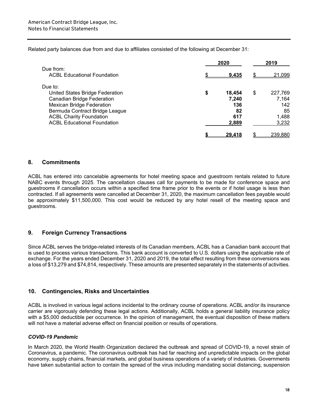Related party balances due from and due to affiliates consisted of the following at December 31:

|                                                 | 2020          | 2019          |
|-------------------------------------------------|---------------|---------------|
| Due from:<br><b>ACBL Educational Foundation</b> |               | \$            |
|                                                 | <u>9.435</u>  | 21,099        |
| Due to:                                         |               |               |
| United States Bridge Federation                 | \$<br>18,454  | \$<br>227,769 |
| <b>Canadian Bridge Federation</b>               | 7,240         | 7,164         |
| <b>Mexican Bridge Federation</b>                | 136           | 142           |
| Bermuda Contract Bridge League                  | 82            | 85            |
| <b>ACBL Charity Foundation</b>                  | 617           | 1,488         |
| <b>ACBL Educational Foundation</b>              | 2,889         | 3,232         |
|                                                 | <u>29.418</u> | 239,880       |

#### **8. Commitments**

ACBL has entered into cancelable agreements for hotel meeting space and guestroom rentals related to future NABC events through 2025. The cancellation clauses call for payments to be made for conference space and guestrooms if cancellation occurs within a specified time frame prior to the events or if hotel usage is less than contracted. If all agreements were cancelled at December 31, 2020, the maximum cancellation fees payable would be approximately \$11,500,000. This cost would be reduced by any hotel resell of the meeting space and guestrooms.

#### **9. Foreign Currency Transactions**

Since ACBL serves the bridge-related interests of its Canadian members, ACBL has a Canadian bank account that is used to process various transactions. This bank account is converted to U.S. dollars using the applicable rate of exchange. For the years ended December 31, 2020 and 2019, the total effect resulting from these conversions was a loss of \$13,279 and \$74,814, respectively. These amounts are presented separately in the statements of activities.

#### **10. Contingencies, Risks and Uncertainties**

ACBL is involved in various legal actions incidental to the ordinary course of operations. ACBL and/or its insurance carrier are vigorously defending these legal actions. Additionally, ACBL holds a general liability insurance policy with a \$5,000 deductible per occurrence. In the opinion of management, the eventual disposition of these matters will not have a material adverse effect on financial position or results of operations.

#### *COVID-19 Pandemic*

In March 2020, the World Health Organization declared the outbreak and spread of COVID-19, a novel strain of Coronavirus, a pandemic. The coronavirus outbreak has had far reaching and unpredictable impacts on the global economy, supply chains, financial markets, and global business operations of a variety of industries. Governments have taken substantial action to contain the spread of the virus including mandating social distancing, suspension